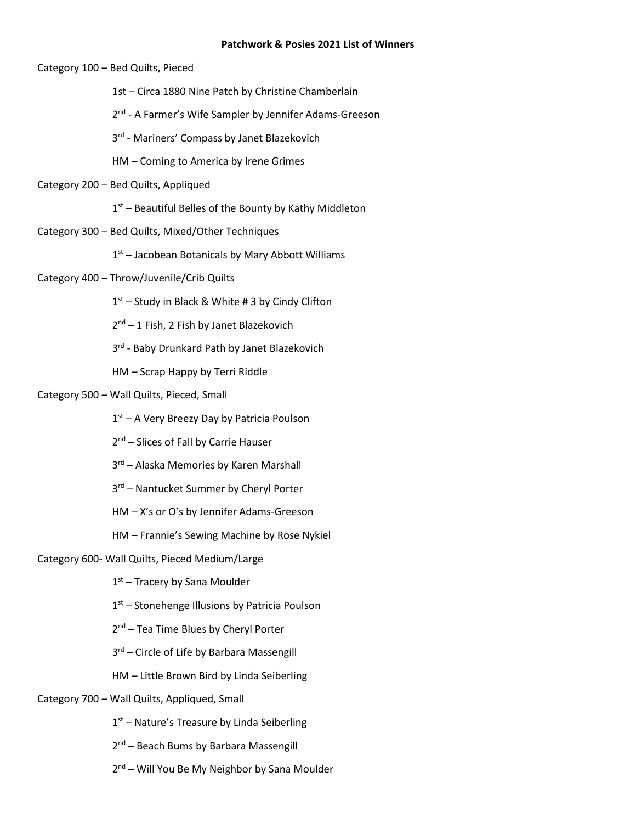### **Patchwork & Posies 2021 List of Winners**

Category 100 – Bed Quilts, Pieced

1st – Circa 1880 Nine Patch by Christine Chamberlain

2<sup>nd</sup> - A Farmer's Wife Sampler by Jennifer Adams-Greeson

3<sup>rd</sup> - Mariners' Compass by Janet Blazekovich

HM – Coming to America by Irene Grimes

Category 200 – Bed Quilts, Appliqued

1<sup>st</sup> – Beautiful Belles of the Bounty by Kathy Middleton

Category 300 – Bed Quilts, Mixed/Other Techniques

1<sup>st</sup> – Jacobean Botanicals by Mary Abbott Williams

# Category 400 – Throw/Juvenile/Crib Quilts

1<sup>st</sup> – Study in Black & White # 3 by Cindy Clifton

2<sup>nd</sup> – 1 Fish, 2 Fish by Janet Blazekovich

3<sup>rd</sup> - Baby Drunkard Path by Janet Blazekovich

HM – Scrap Happy by Terri Riddle

# Category 500 – Wall Quilts, Pieced, Small

1<sup>st</sup> – A Very Breezy Day by Patricia Poulson

2<sup>nd</sup> – Slices of Fall by Carrie Hauser

3<sup>rd</sup> – Alaska Memories by Karen Marshall

3<sup>rd</sup> – Nantucket Summer by Cheryl Porter

HM – X's or O's by Jennifer Adams-Greeson

HM – Frannie's Sewing Machine by Rose Nykiel

# Category 600- Wall Quilts, Pieced Medium/Large

1st – Tracery by Sana Moulder

- 1<sup>st</sup> Stonehenge Illusions by Patricia Poulson
- 2<sup>nd</sup> Tea Time Blues by Cheryl Porter
- 3<sup>rd</sup> Circle of Life by Barbara Massengill
- HM Little Brown Bird by Linda Seiberling

# Category 700 – Wall Quilts, Appliqued, Small

- 1<sup>st</sup> Nature's Treasure by Linda Seiberling
- 2<sup>nd</sup> Beach Bums by Barbara Massengill
- 2<sup>nd</sup> Will You Be My Neighbor by Sana Moulder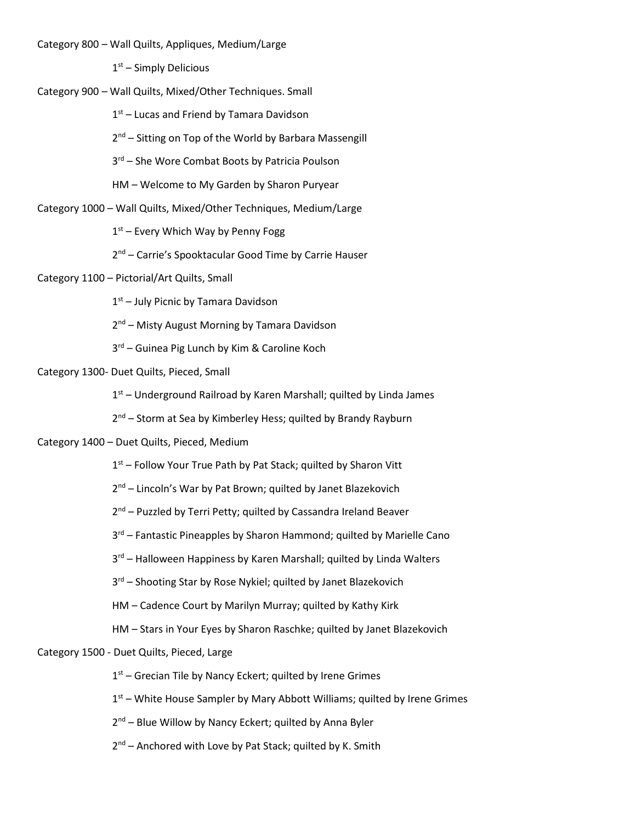Category 800 – Wall Quilts, Appliques, Medium/Large

1<sup>st</sup> – Simply Delicious

Category 900 – Wall Quilts, Mixed/Other Techniques. Small

1<sup>st</sup> – Lucas and Friend by Tamara Davidson

2<sup>nd</sup> – Sitting on Top of the World by Barbara Massengill

3<sup>rd</sup> – She Wore Combat Boots by Patricia Poulson

HM – Welcome to My Garden by Sharon Puryear

Category 1000 – Wall Quilts, Mixed/Other Techniques, Medium/Large

1<sup>st</sup> – Every Which Way by Penny Fogg

2<sup>nd</sup> – Carrie's Spooktacular Good Time by Carrie Hauser

Category 1100 – Pictorial/Art Quilts, Small

1<sup>st</sup> – July Picnic by Tamara Davidson

2<sup>nd</sup> – Misty August Morning by Tamara Davidson

3 rd – Guinea Pig Lunch by Kim & Caroline Koch

Category 1300- Duet Quilts, Pieced, Small

1<sup>st</sup> – Underground Railroad by Karen Marshall; quilted by Linda James

2<sup>nd</sup> – Storm at Sea by Kimberley Hess; quilted by Brandy Rayburn

Category 1400 – Duet Quilts, Pieced, Medium

1<sup>st</sup> – Follow Your True Path by Pat Stack; quilted by Sharon Vitt

2<sup>nd</sup> – Lincoln's War by Pat Brown; quilted by Janet Blazekovich

2<sup>nd</sup> – Puzzled by Terri Petty; quilted by Cassandra Ireland Beaver

3<sup>rd</sup> – Fantastic Pineapples by Sharon Hammond; quilted by Marielle Cano

3<sup>rd</sup> – Halloween Happiness by Karen Marshall; quilted by Linda Walters

3<sup>rd</sup> – Shooting Star by Rose Nykiel; quilted by Janet Blazekovich

HM – Cadence Court by Marilyn Murray; quilted by Kathy Kirk

HM – Stars in Your Eyes by Sharon Raschke; quilted by Janet Blazekovich

Category 1500 - Duet Quilts, Pieced, Large

1<sup>st</sup> – Grecian Tile by Nancy Eckert; quilted by Irene Grimes

1<sup>st</sup> – White House Sampler by Mary Abbott Williams; quilted by Irene Grimes

2<sup>nd</sup> – Blue Willow by Nancy Eckert; quilted by Anna Byler

2<sup>nd</sup> – Anchored with Love by Pat Stack; quilted by K. Smith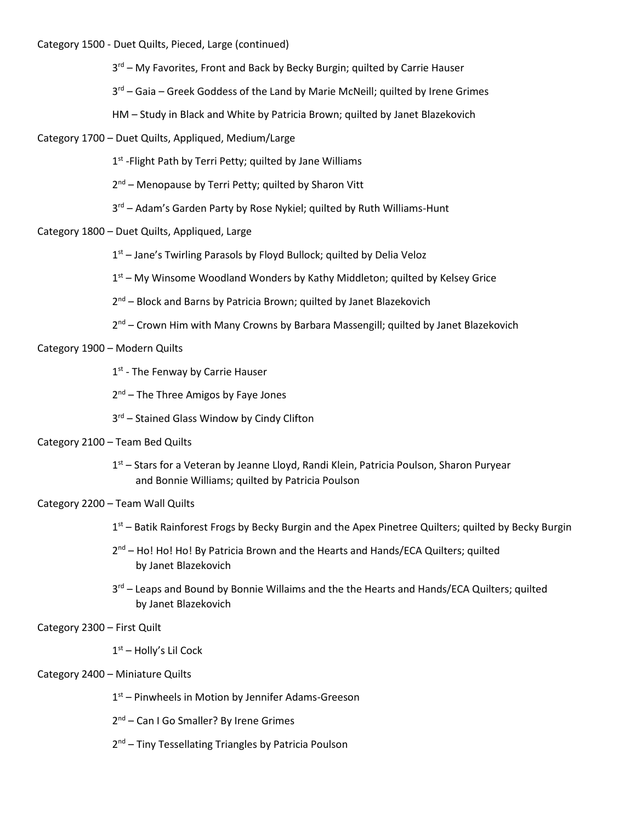Category 1500 - Duet Quilts, Pieced, Large (continued)

3<sup>rd</sup> – My Favorites, Front and Back by Becky Burgin; quilted by Carrie Hauser

3<sup>rd</sup> – Gaia – Greek Goddess of the Land by Marie McNeill; quilted by Irene Grimes

HM – Study in Black and White by Patricia Brown; quilted by Janet Blazekovich

Category 1700 – Duet Quilts, Appliqued, Medium/Large

1<sup>st</sup> -Flight Path by Terri Petty; quilted by Jane Williams

2<sup>nd</sup> – Menopause by Terri Petty; quilted by Sharon Vitt

3<sup>rd</sup> – Adam's Garden Party by Rose Nykiel; quilted by Ruth Williams-Hunt

Category 1800 – Duet Quilts, Appliqued, Large

1<sup>st</sup> – Jane's Twirling Parasols by Floyd Bullock; quilted by Delia Veloz

1<sup>st</sup> – My Winsome Woodland Wonders by Kathy Middleton; quilted by Kelsey Grice

2<sup>nd</sup> – Block and Barns by Patricia Brown; quilted by Janet Blazekovich

2<sup>nd</sup> – Crown Him with Many Crowns by Barbara Massengill; quilted by Janet Blazekovich

Category 1900 – Modern Quilts

1st - The Fenway by Carrie Hauser

2<sup>nd</sup> – The Three Amigos by Faye Jones

3<sup>rd</sup> – Stained Glass Window by Cindy Clifton

# Category 2100 – Team Bed Quilts

1<sup>st</sup> – Stars for a Veteran by Jeanne Lloyd, Randi Klein, Patricia Poulson, Sharon Puryear and Bonnie Williams; quilted by Patricia Poulson

Category 2200 – Team Wall Quilts

1<sup>st</sup> – Batik Rainforest Frogs by Becky Burgin and the Apex Pinetree Quilters; quilted by Becky Burgin

- 2<sup>nd</sup> Ho! Ho! Ho! By Patricia Brown and the Hearts and Hands/ECA Quilters; quilted by Janet Blazekovich
- 3<sup>rd</sup> Leaps and Bound by Bonnie Willaims and the the Hearts and Hands/ECA Quilters; quilted by Janet Blazekovich

# Category 2300 – First Quilt

1<sup>st</sup> – Holly's Lil Cock

# Category 2400 – Miniature Quilts

1<sup>st</sup> – Pinwheels in Motion by Jennifer Adams-Greeson

2<sup>nd</sup> – Can I Go Smaller? By Irene Grimes

2<sup>nd</sup> – Tiny Tessellating Triangles by Patricia Poulson